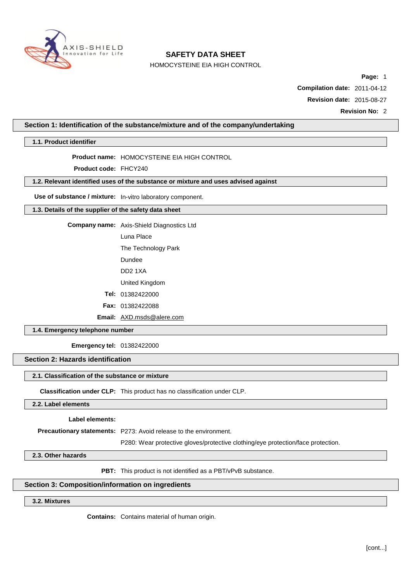

HOMOCYSTEINE EIA HIGH CONTROL

**Page:** 1

**Compilation date:** 2011-04-12

**Revision date:** 2015-08-27

**Revision No:** 2

## **Section 1: Identification of the substance/mixture and of the company/undertaking**

**1.1. Product identifier**

**Product name:** HOMOCYSTEINE EIA HIGH CONTROL

**Product code:** FHCY240

## **1.2. Relevant identified uses of the substance or mixture and uses advised against**

**Use of substance / mixture:** In-vitro laboratory component.

### **1.3. Details of the supplier of the safety data sheet**

**Company name:** Axis-Shield Diagnostics Ltd

Luna Place

The Technology Park

Dundee

DD2 1XA

United Kingdom

**Tel:** 01382422000

**Fax:** 01382422088

**Email:** [AXD.msds@alere.com](mailto:AXD.msds@alere.com)

**1.4. Emergency telephone number**

**Emergency tel:** 01382422000

# **Section 2: Hazards identification**

## **2.1. Classification of the substance or mixture**

**Classification under CLP:** This product has no classification under CLP.

## **2.2. Label elements**

**Label elements:**

**Precautionary statements:** P273: Avoid release to the environment.

P280: Wear protective gloves/protective clothing/eye protection/face protection.

**2.3. Other hazards**

**PBT:** This product is not identified as a PBT/vPvB substance.

## **Section 3: Composition/information on ingredients**

## **3.2. Mixtures**

**Contains:** Contains material of human origin.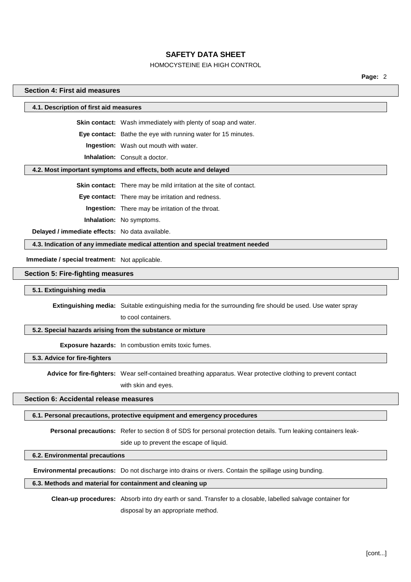## HOMOCYSTEINE EIA HIGH CONTROL

**Page:** 2

## **Section 4: First aid measures**

#### **4.1. Description of first aid measures**

**Skin contact:** Wash immediately with plenty of soap and water.

**Eye contact:** Bathe the eye with running water for 15 minutes.

**Ingestion:** Wash out mouth with water.

**Inhalation:** Consult a doctor.

#### **4.2. Most important symptoms and effects, both acute and delayed**

**Skin contact:** There may be mild irritation at the site of contact.

**Eye contact:** There may be irritation and redness.

**Ingestion:** There may be irritation of the throat.

**Inhalation:** No symptoms.

**Delayed / immediate effects:** No data available.

**4.3. Indication of any immediate medical attention and special treatment needed**

**Immediate / special treatment:** Not applicable.

#### **Section 5: Fire-fighting measures**

#### **5.1. Extinguishing media**

**Extinguishing media:** Suitable extinguishing media for the surrounding fire should be used. Use water spray

to cool containers.

## **5.2. Special hazards arising from the substance or mixture**

**Exposure hazards:** In combustion emits toxic fumes.

**5.3. Advice for fire-fighters**

**Advice for fire-fighters:** Wear self-contained breathing apparatus. Wear protective clothing to prevent contact with skin and eyes.

## **Section 6: Accidental release measures**

#### **6.1. Personal precautions, protective equipment and emergency procedures**

**Personal precautions:** Refer to section 8 of SDS for personal protection details. Turn leaking containers leak-

side up to prevent the escape of liquid.

#### **6.2. Environmental precautions**

**Environmental precautions:** Do not discharge into drains or rivers. Contain the spillage using bunding.

### **6.3. Methods and material for containment and cleaning up**

**Clean-up procedures:** Absorb into dry earth or sand. Transfer to a closable, labelled salvage container for disposal by an appropriate method.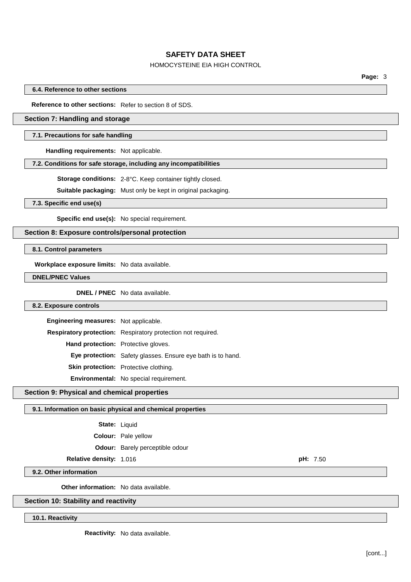## HOMOCYSTEINE EIA HIGH CONTROL

**Page:** 3

**6.4. Reference to other sections**

**Reference to other sections:** Refer to section 8 of SDS.

## **Section 7: Handling and storage**

#### **7.1. Precautions for safe handling**

**Handling requirements:** Not applicable.

#### **7.2. Conditions for safe storage, including any incompatibilities**

**Storage conditions:** 2-8°C. Keep container tightly closed.

**Suitable packaging:** Must only be kept in original packaging.

**7.3. Specific end use(s)**

**Specific end use(s):** No special requirement.

## **Section 8: Exposure controls/personal protection**

**8.1. Control parameters**

**Workplace exposure limits:** No data available.

**DNEL/PNEC Values**

**DNEL / PNEC** No data available.

## **8.2. Exposure controls**

| Engineering measures: Not applicable.      |                                                                    |
|--------------------------------------------|--------------------------------------------------------------------|
|                                            | Respiratory protection: Respiratory protection not required.       |
| <b>Hand protection:</b> Protective gloves. |                                                                    |
|                                            | <b>Eye protection:</b> Safety glasses. Ensure eye bath is to hand. |
|                                            | Skin protection: Protective clothing.                              |
|                                            | Environmental: No special requirement.                             |

#### **Section 9: Physical and chemical properties**

#### **9.1. Information on basic physical and chemical properties**

| State: | Liquid |
|--------|--------|
|--------|--------|

**Colour:** Pale yellow

**Odour:** Barely perceptible odour

## **Relative density:** 1.016 **pH:** 7.50

**9.2. Other information**

**Other information:** No data available.

### **Section 10: Stability and reactivity**

**10.1. Reactivity**

**Reactivity:** No data available.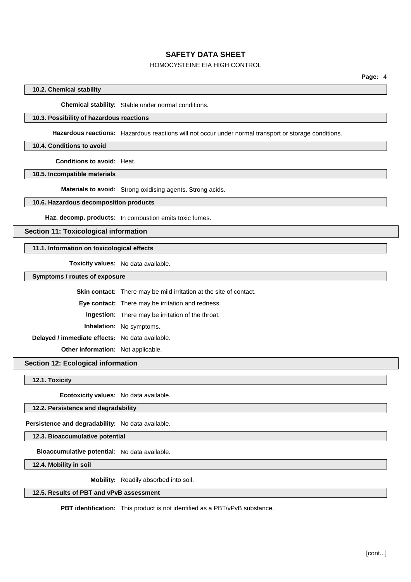## HOMOCYSTEINE EIA HIGH CONTROL

### **10.2. Chemical stability**

**Chemical stability:** Stable under normal conditions.

### **10.3. Possibility of hazardous reactions**

**Hazardous reactions:** Hazardous reactions will not occur under normal transport or storage conditions.

#### **10.4. Conditions to avoid**

**Conditions to avoid:** Heat.

**10.5. Incompatible materials**

**Materials to avoid:** Strong oxidising agents. Strong acids.

#### **10.6. Hazardous decomposition products**

**Haz. decomp. products:** In combustion emits toxic fumes.

## **Section 11: Toxicological information**

## **11.1. Information on toxicological effects**

**Toxicity values:** No data available.

**Symptoms / routes of exposure**

|                                                 | <b>Skin contact:</b> There may be mild irritation at the site of contact. |
|-------------------------------------------------|---------------------------------------------------------------------------|
|                                                 | <b>Eye contact:</b> There may be irritation and redness.                  |
|                                                 | <b>Ingestion:</b> There may be irritation of the throat.                  |
|                                                 | <b>Inhalation:</b> No symptoms.                                           |
| Delayed / immediate effects: No data available. |                                                                           |
| <b>Other information:</b> Not applicable.       |                                                                           |

# **Section 12: Ecological information**

**12.1. Toxicity**

**Ecotoxicity values:** No data available.

### **12.2. Persistence and degradability**

**Persistence and degradability:** No data available.

**12.3. Bioaccumulative potential**

**Bioaccumulative potential:** No data available.

**12.4. Mobility in soil**

**Mobility:** Readily absorbed into soil.

### **12.5. Results of PBT and vPvB assessment**

**PBT identification:** This product is not identified as a PBT/vPvB substance.